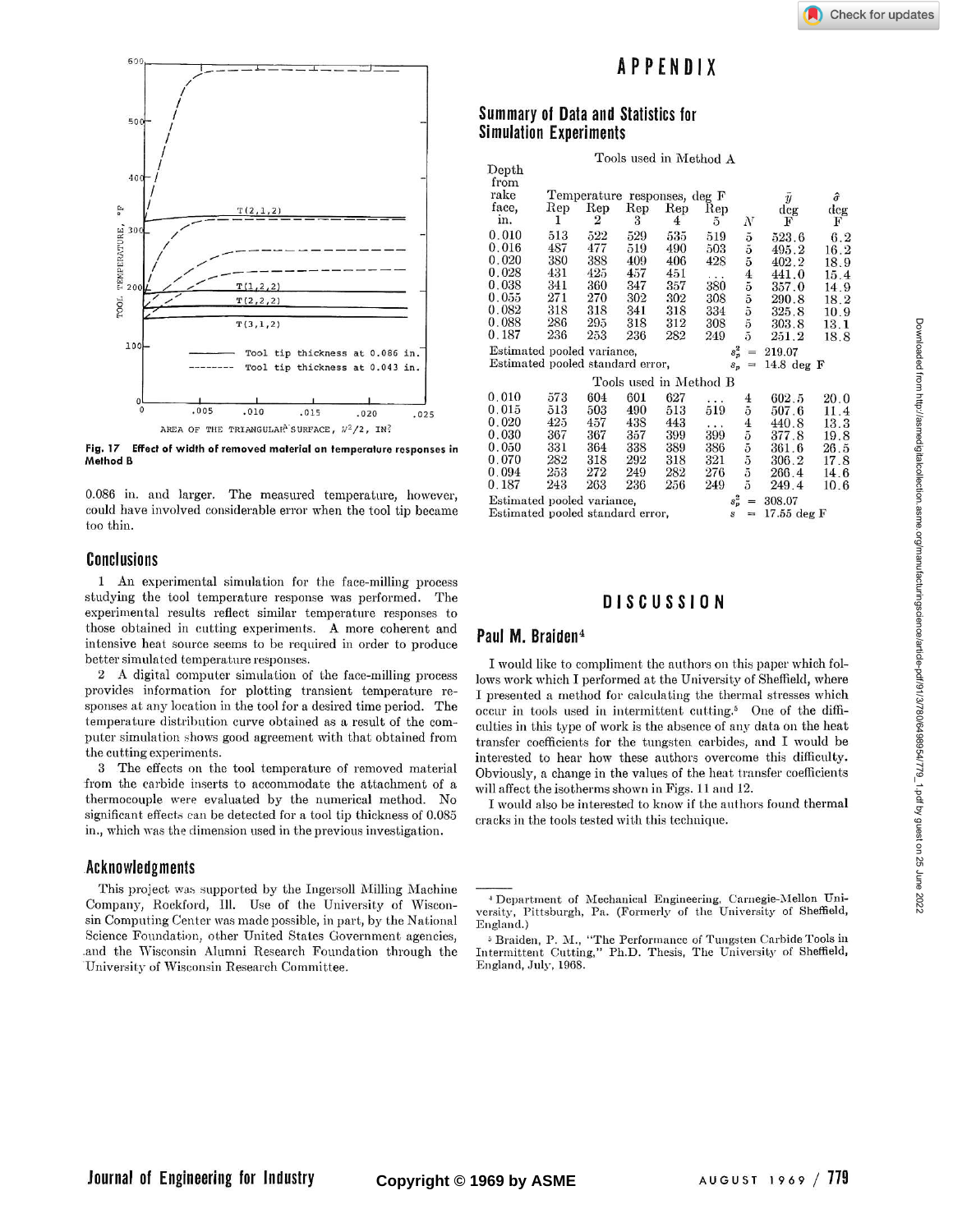

Fig. 17 Effect of width of removed material on temperature responses in **Method B** 

0.086 in. and larger. The measured temperature, however, could have involved considerable error when the tool tip became too thin.

### **Conclusions**

1 An experimental simulation for the face-milling process studying the tool temperature response was performed. The experimental results reflect similar temperature responses to those obtained in cutting experiments. A more coherent and intensive heat source seems to be required in order to produce better simulated temperature responses.

2 A digital computer simulation of the face-milling process provides information for plotting transient temperature responses at any location in the tool for a desired time period. The temperature distribution curve obtained as a result of the computer simulation shows good agreement with that obtained from the cutting experiments.

3 The effects on the tool temperature of removed material from the carbide inserts to accommodate the attachment of a thermocouple were evaluated by the numerical method. No significant effects can be detected for a tool tip thickness of 0.085 in., which was the dimension used in the previous investigation.

# **Acknowledgments**

This project was supported by the Ingersoll Milling Machine Company, Rockford, Ill. Use of the University of Wisconsin Computing Center was made possible, in part, by the National Science Foundation, other United States Government agencies, and the Wisconsin Alumni Research Foundation through the University of Wisconsin Research Committee.

# **APPENDI X**

## **Summar y of Data and Statistics for Simulation Experiments**

|                                  |                                                             |     |     | Tools used in Method A |          |                                               |        |      |
|----------------------------------|-------------------------------------------------------------|-----|-----|------------------------|----------|-----------------------------------------------|--------|------|
| ${\rm Depth}$<br>from            |                                                             |     |     |                        |          |                                               |        |      |
| rake                             | Temperature responses, deg F<br>$\hat{\sigma}$<br>$\bar{y}$ |     |     |                        |          |                                               |        |      |
| face,                            | Rep                                                         | Rep | Rep | Rep                    | Rep      |                                               | deg    | deg  |
| in.                              | 1                                                           | 2   | 3   | 4                      | 5        | $_{N}$                                        | F      | F    |
| 0.010                            | 513                                                         | 522 | 529 | 535                    | 519      | $\tilde{\text{o}}$                            | 523.6  | 6.2  |
| 0.016                            | 487                                                         | 477 | 519 | 490                    | 503      | $\overline{5}$                                | 495.2  | 16.2 |
| 0.020                            | 380                                                         | 388 | 409 | 406                    | 428      | $\tilde{\mathbf{d}}$                          | 402.2  | 18.9 |
| 0.028                            | 431                                                         | 425 | 457 | 451                    | $\cdots$ |                                               | 441.0  | 15.4 |
| 0.038                            | 341                                                         | 360 | 347 | 357                    | 380      |                                               | 357.0  | 14.9 |
| 0.055                            | 271                                                         | 270 | 302 | 302                    | 308      | $\frac{4}{5}$ $\frac{5}{5}$ $\frac{5}{5}$     | 290.8  | 18.2 |
| $0.082\,$                        | 318                                                         | 318 | 341 | 318                    | 334      |                                               | 325.8  | 10.9 |
| 0.088                            | 286                                                         | 295 | 318 | 312                    | 308      |                                               | 303.8  | 13.1 |
| 0.187                            | 236                                                         | 253 | 236 | 282                    | 249      | $\overline{5}$                                | 251.2  | 18.8 |
| Estimated pooled variance,       |                                                             |     |     |                        | $s_p^2$  | $=$                                           | 219.07 |      |
|                                  | Estimated pooled standard error,                            |     |     |                        |          | 14.8 deg $F$<br>$S_n$<br>$=$                  |        |      |
|                                  |                                                             |     |     | Tools used in Method B |          |                                               |        |      |
| 0.010                            | 573                                                         | 604 | 601 | 627                    | .        |                                               | 602.5  | 20.0 |
| 0.015                            | 513                                                         | 503 | 490 | 513                    | 519      | $\frac{4}{5}$                                 | 507.6  | 11.4 |
| 0.020                            | 425                                                         | 457 | 438 | 443                    | $\cdots$ |                                               | 440.8  | 13.3 |
| 0.030                            | 367                                                         | 367 | 357 | 399                    | 399      |                                               | 377.8  | 19.8 |
| $0.050\,$                        | 331                                                         | 364 | 338 | 389                    | 386      |                                               | 361.6  | 26.5 |
| $0.070\,$                        | 282                                                         | 318 | 292 | 318                    | 321      | 455                                           | 306.2  | 17.8 |
| $0.094\,$                        | 253                                                         | 272 | 249 | 282                    | 276      |                                               | 266.4  | 14.6 |
| 0.187                            | 243                                                         | 263 | 236 | 256                    | 249      | $\tilde{\mathfrak{d}}$                        | 249.4  | 10.6 |
| Estimated pooled variance,       |                                                             |     |     |                        | $s_p^2$  | $=$                                           | 308.07 |      |
| Estimated pooled standard error, |                                                             |     |     |                        |          | $17.55$ deg $F$<br>$\overline{s}$<br>$\equiv$ |        |      |

# **DISCUSSI 0 N**

#### **Paul M . Braiden<sup>4</sup>**

I would like to compliment the authors on this paper which follows work which I performed at the University of Sheffield, where I presented a method for calculating the thermal stresses which occur in tools used in intermittent cutting.5 One of the difficulties in this type of work is the absence of any data on the heat transfer coefficients for the tungsten carbides, and I would be interested to hear how these authors overcome this difficulty. Obviously, a change in the values of the heat transfer coefficients will affect the isotherms shown in Figs. 11 and 12.

I would also be interested to know if the authors found thermal cracks in the tools tested with this technique.

<sup>&</sup>lt;sup>4</sup> Department of Mechanical Engineering, Carnegie-Mellon University, Pittsburgh, Pa. (Formerly of the University of Sheffield, England.)

<sup>5</sup> Braiden, P. M., "The Performance of Tungsten Carbide Tools in Intermittent Cutting," Ph.D. Thesis, The University of Sheffield, England, July, 1968.